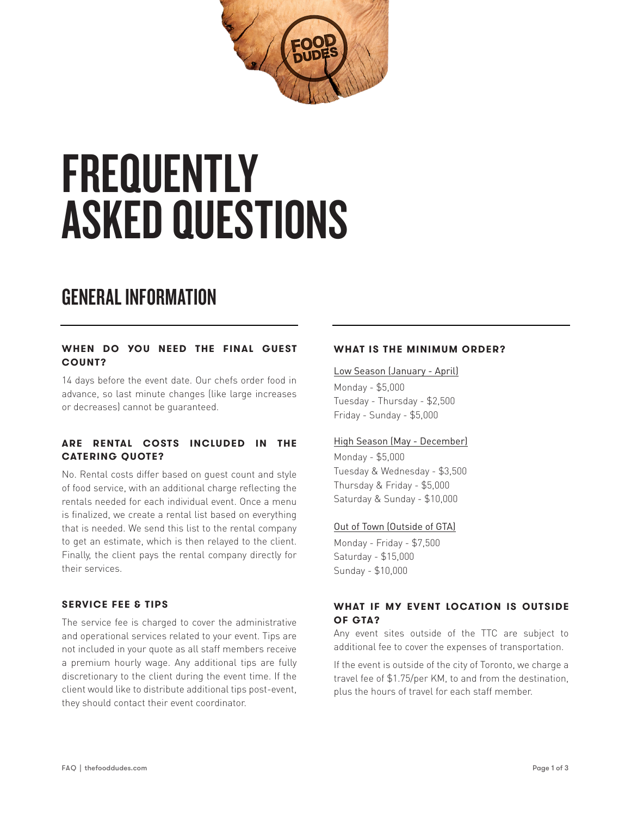

# **FREQUENTLY** ASKED QUESTIONS

## GENERAL INFORMATION

#### **WHEN DO YOU NEED THE FINAL GUEST COUNT?**

14 days before the event date. Our chefs order food in advance, so last minute changes (like large increases or decreases) cannot be guaranteed.

#### **ARE RENTAL COSTS INCLUDED IN THE CATERING QUOTE?**

No. Rental costs differ based on guest count and style of food service, with an additional charge reflecting the rentals needed for each individual event. Once a menu is finalized, we create a rental list based on everything that is needed. We send this list to the rental company to get an estimate, which is then relayed to the client. Finally, the client pays the rental company directly for their services.

#### **SERVICE FEE & TIPS**

The service fee is charged to cover the administrative and operational services related to your event. Tips are not included in your quote as all staff members receive a premium hourly wage. Any additional tips are fully discretionary to the client during the event time. If the client would like to distribute additional tips post-event, they should contact their event coordinator.

#### **WHAT IS THE MINIMUM ORDER?**

Low Season (January - April)

Monday - \$5,000 Tuesday - Thursday - \$2,500 Friday - Sunday - \$5,000

#### High Season (May - December)

Monday - \$5,000 Tuesday & Wednesday - \$3,500 Thursday & Friday - \$5,000 Saturday & Sunday - \$10,000

#### Out of Town (Outside of GTA)

Monday - Friday - \$7,500 Saturday - \$15,000 Sunday - \$10,000

#### **WHAT IF MY EVENT LOCATION IS OUTSIDE OF GTA?**

Any event sites outside of the TTC are subject to additional fee to cover the expenses of transportation.

If the event is outside of the city of Toronto, we charge a travel fee of \$1.75/per KM, to and from the destination, plus the hours of travel for each staff member.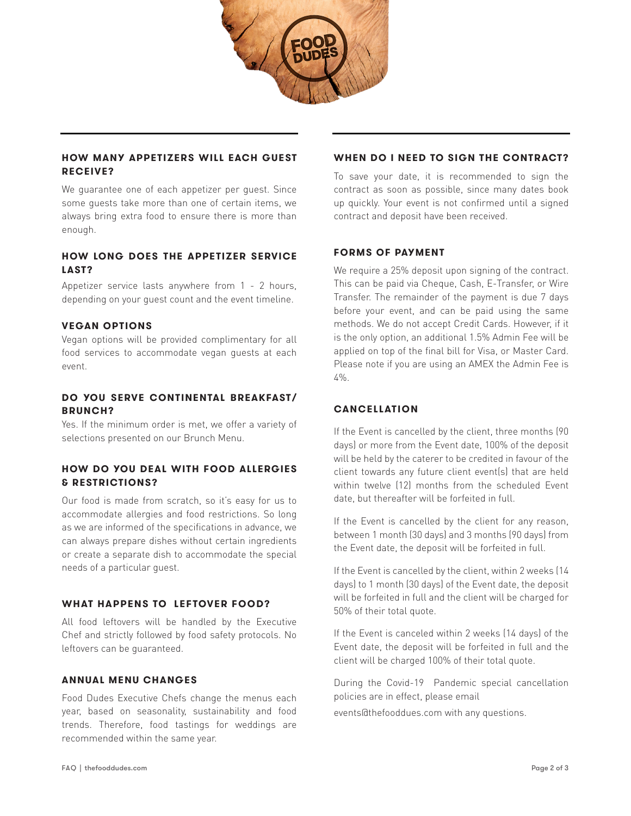

#### **HOW MANY APPETIZERS WILL EACH GUEST RECEIVE?**

We guarantee one of each appetizer per guest. Since some guests take more than one of certain items, we always bring extra food to ensure there is more than enough.

#### **HOW LONG DOES THE APPETIZER SERVICE LAST?**

Appetizer service lasts anywhere from 1 - 2 hours, depending on your guest count and the event timeline.

#### **VEGAN OPTIONS**

Vegan options will be provided complimentary for all food services to accommodate vegan guests at each event.

#### **DO YOU SERVE CONTINENTAL BREAKFAST/ BRUNCH?**

Yes. If the minimum order is met, we offer a variety of selections presented on our Brunch Menu.

#### **HOW DO YOU DEAL WITH FOOD ALLERGIES & RESTRICTIONS?**

Our food is made from scratch, so it's easy for us to accommodate allergies and food restrictions. So long as we are informed of the specifications in advance, we can always prepare dishes without certain ingredients or create a separate dish to accommodate the special needs of a particular guest.

#### **WHAT HAPPENS TO LEFTOVER FOOD?**

All food leftovers will be handled by the Executive Chef and strictly followed by food safety protocols. No leftovers can be guaranteed.

#### **ANNUAL MENU CHANGES**

Food Dudes Executive Chefs change the menus each year, based on seasonality, sustainability and food trends. Therefore, food tastings for weddings are recommended within the same year.

#### **WHEN DO I NEED TO SIGN THE CONTRACT?**

To save your date, it is recommended to sign the contract as soon as possible, since many dates book up quickly. Your event is not confirmed until a signed contract and deposit have been received.

#### **FORMS OF PAYMENT**

We require a 25% deposit upon signing of the contract. This can be paid via Cheque, Cash, E-Transfer, or Wire Transfer. The remainder of the payment is due 7 days before your event, and can be paid using the same methods. We do not accept Credit Cards. However, if it is the only option, an additional 1.5% Admin Fee will be applied on top of the final bill for Visa, or Master Card. Please note if you are using an AMEX the Admin Fee is  $4\%$ .

#### **CANCELLATION**

If the Event is cancelled by the client, three months (90 days) or more from the Event date, 100% of the deposit will be held by the caterer to be credited in favour of the client towards any future client event(s) that are held within twelve (12) months from the scheduled Event date, but thereafter will be forfeited in full.

If the Event is cancelled by the client for any reason, between 1 month (30 days) and 3 months (90 days) from the Event date, the deposit will be forfeited in full.

If the Event is cancelled by the client, within 2 weeks (14 days) to 1 month (30 days) of the Event date, the deposit will be forfeited in full and the client will be charged for 50% of their total quote.

If the Event is canceled within 2 weeks (14 days) of the Event date, the deposit will be forfeited in full and the client will be charged 100% of their total quote.

During the Covid-19 Pandemic special cancellation policies are in effect, please email

events@thefooddues.com with any questions.